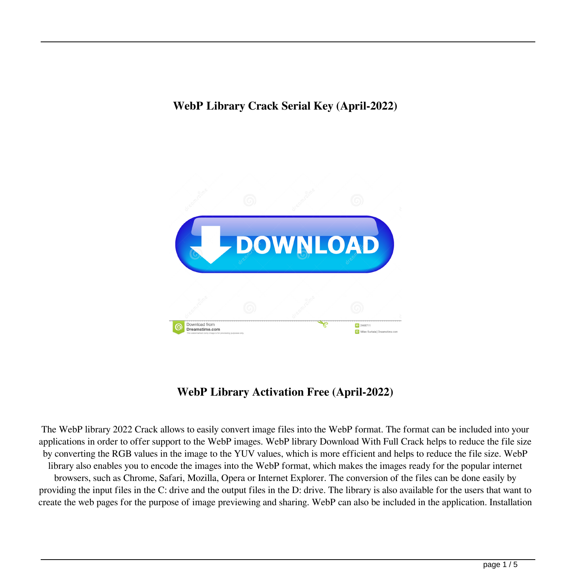

# **WebP Library Activation Free (April-2022)**

The WebP library 2022 Crack allows to easily convert image files into the WebP format. The format can be included into your applications in order to offer support to the WebP images. WebP library Download With Full Crack helps to reduce the file size by converting the RGB values in the image to the YUV values, which is more efficient and helps to reduce the file size. WebP library also enables you to encode the images into the WebP format, which makes the images ready for the popular internet browsers, such as Chrome, Safari, Mozilla, Opera or Internet Explorer. The conversion of the files can be done easily by providing the input files in the C: drive and the output files in the D: drive. The library is also available for the users that want to create the web pages for the purpose of image previewing and sharing. WebP can also be included in the application. Installation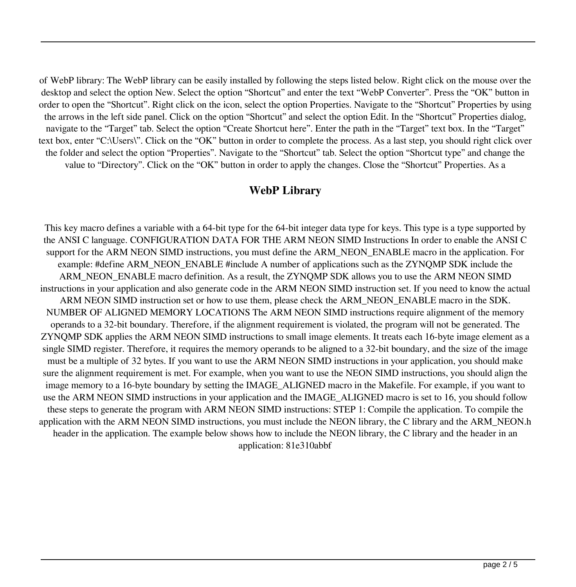of WebP library: The WebP library can be easily installed by following the steps listed below. Right click on the mouse over the desktop and select the option New. Select the option "Shortcut" and enter the text "WebP Converter". Press the "OK" button in order to open the "Shortcut". Right click on the icon, select the option Properties. Navigate to the "Shortcut" Properties by using the arrows in the left side panel. Click on the option "Shortcut" and select the option Edit. In the "Shortcut" Properties dialog, navigate to the "Target" tab. Select the option "Create Shortcut here". Enter the path in the "Target" text box. In the "Target" text box, enter "C:\Users\". Click on the "OK" button in order to complete the process. As a last step, you should right click over the folder and select the option "Properties". Navigate to the "Shortcut" tab. Select the option "Shortcut type" and change the value to "Directory". Click on the "OK" button in order to apply the changes. Close the "Shortcut" Properties. As a

#### **WebP Library**

This key macro defines a variable with a 64-bit type for the 64-bit integer data type for keys. This type is a type supported by the ANSI C language. CONFIGURATION DATA FOR THE ARM NEON SIMD Instructions In order to enable the ANSI C support for the ARM NEON SIMD instructions, you must define the ARM\_NEON\_ENABLE macro in the application. For example: #define ARM\_NEON\_ENABLE #include A number of applications such as the ZYNQMP SDK include the ARM\_NEON\_ENABLE macro definition. As a result, the ZYNQMP SDK allows you to use the ARM NEON SIMD instructions in your application and also generate code in the ARM NEON SIMD instruction set. If you need to know the actual ARM NEON SIMD instruction set or how to use them, please check the ARM\_NEON\_ENABLE macro in the SDK. NUMBER OF ALIGNED MEMORY LOCATIONS The ARM NEON SIMD instructions require alignment of the memory operands to a 32-bit boundary. Therefore, if the alignment requirement is violated, the program will not be generated. The ZYNQMP SDK applies the ARM NEON SIMD instructions to small image elements. It treats each 16-byte image element as a single SIMD register. Therefore, it requires the memory operands to be aligned to a 32-bit boundary, and the size of the image must be a multiple of 32 bytes. If you want to use the ARM NEON SIMD instructions in your application, you should make sure the alignment requirement is met. For example, when you want to use the NEON SIMD instructions, you should align the image memory to a 16-byte boundary by setting the IMAGE\_ALIGNED macro in the Makefile. For example, if you want to use the ARM NEON SIMD instructions in your application and the IMAGE\_ALIGNED macro is set to 16, you should follow these steps to generate the program with ARM NEON SIMD instructions: STEP 1: Compile the application. To compile the application with the ARM NEON SIMD instructions, you must include the NEON library, the C library and the ARM\_NEON.h header in the application. The example below shows how to include the NEON library, the C library and the header in an application: 81e310abbf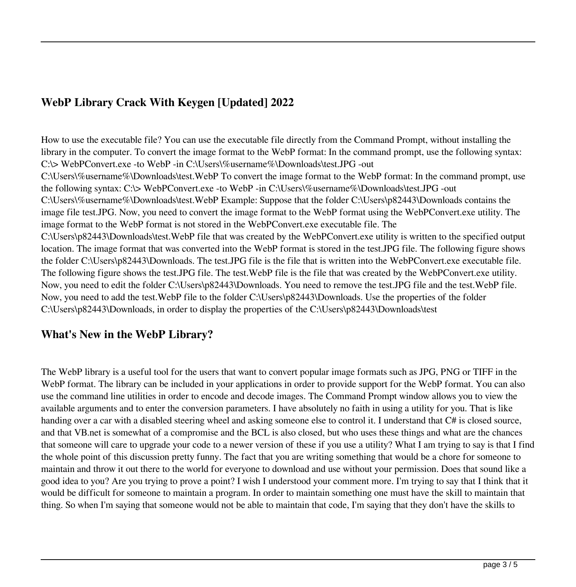# **WebP Library Crack With Keygen [Updated] 2022**

How to use the executable file? You can use the executable file directly from the Command Prompt, without installing the library in the computer. To convert the image format to the WebP format: In the command prompt, use the following syntax: C:\> WebPConvert.exe -to WebP -in C:\Users\%username%\Downloads\test.JPG -out C:\Users\%username%\Downloads\test.WebP To convert the image format to the WebP format: In the command prompt, use the following syntax: C:\> WebPConvert.exe -to WebP -in C:\Users\%username%\Downloads\test.JPG -out C:\Users\%username%\Downloads\test.WebP Example: Suppose that the folder C:\Users\p82443\Downloads contains the image file test.JPG. Now, you need to convert the image format to the WebP format using the WebPConvert.exe utility. The image format to the WebP format is not stored in the WebPConvert.exe executable file. The C:\Users\p82443\Downloads\test.WebP file that was created by the WebPConvert.exe utility is written to the specified output location. The image format that was converted into the WebP format is stored in the test.JPG file. The following figure shows the folder C:\Users\p82443\Downloads. The test.JPG file is the file that is written into the WebPConvert.exe executable file. The following figure shows the test.JPG file. The test.WebP file is the file that was created by the WebPConvert.exe utility. Now, you need to edit the folder C:\Users\p82443\Downloads. You need to remove the test.JPG file and the test.WebP file. Now, you need to add the test.WebP file to the folder C:\Users\p82443\Downloads. Use the properties of the folder C:\Users\p82443\Downloads, in order to display the properties of the C:\Users\p82443\Downloads\test

#### **What's New in the WebP Library?**

The WebP library is a useful tool for the users that want to convert popular image formats such as JPG, PNG or TIFF in the WebP format. The library can be included in your applications in order to provide support for the WebP format. You can also use the command line utilities in order to encode and decode images. The Command Prompt window allows you to view the available arguments and to enter the conversion parameters. I have absolutely no faith in using a utility for you. That is like handing over a car with a disabled steering wheel and asking someone else to control it. I understand that C# is closed source, and that VB.net is somewhat of a compromise and the BCL is also closed, but who uses these things and what are the chances that someone will care to upgrade your code to a newer version of these if you use a utility? What I am trying to say is that I find the whole point of this discussion pretty funny. The fact that you are writing something that would be a chore for someone to maintain and throw it out there to the world for everyone to download and use without your permission. Does that sound like a good idea to you? Are you trying to prove a point? I wish I understood your comment more. I'm trying to say that I think that it would be difficult for someone to maintain a program. In order to maintain something one must have the skill to maintain that thing. So when I'm saying that someone would not be able to maintain that code, I'm saying that they don't have the skills to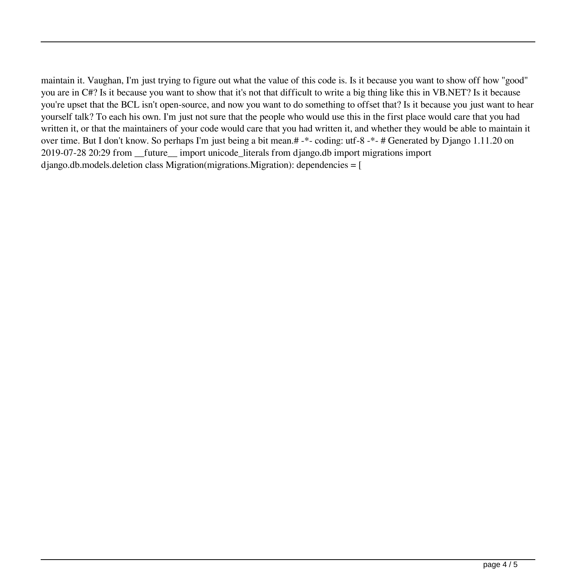maintain it. Vaughan, I'm just trying to figure out what the value of this code is. Is it because you want to show off how "good" you are in C#? Is it because you want to show that it's not that difficult to write a big thing like this in VB.NET? Is it because you're upset that the BCL isn't open-source, and now you want to do something to offset that? Is it because you just want to hear yourself talk? To each his own. I'm just not sure that the people who would use this in the first place would care that you had written it, or that the maintainers of your code would care that you had written it, and whether they would be able to maintain it over time. But I don't know. So perhaps I'm just being a bit mean.# -\*- coding: utf-8 -\*- # Generated by Django 1.11.20 on 2019-07-28 20:29 from \_\_future\_\_ import unicode\_literals from django.db import migrations import  $d$  jango.db.models.deletion class Migration(migrations. Migration): dependencies = [